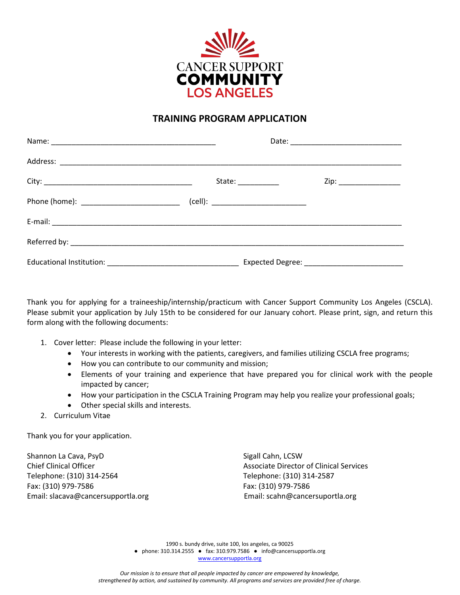

# **TRAINING PROGRAM APPLICATION**

|                                                | State: ____________ | Zip: ___________________ |
|------------------------------------------------|---------------------|--------------------------|
| Phone (home): ________________________________ |                     |                          |
|                                                |                     |                          |
|                                                |                     |                          |
|                                                |                     |                          |

Thank you for applying for a traineeship/internship/practicum with Cancer Support Community Los Angeles (CSCLA). Please submit your application by July 15th to be considered for our January cohort. Please print, sign, and return this form along with the following documents:

- 1. Cover letter: Please include the following in your letter:
	- Your interests in working with the patients, caregivers, and families utilizing CSCLA free programs;
	- How you can contribute to our community and mission;
	- Elements of your training and experience that have prepared you for clinical work with the people impacted by cancer;
	- How your participation in the CSCLA Training Program may help you realize your professional goals;
	- Other special skills and interests.
- 2. Curriculum Vitae

Thank you for your application.

Shannon La Cava, PsyD Shannon Care Cava, PsyD Sigall Cahn, LCSW Chief Clinical Officer **Associate Director of Clinical Services** Associate Director of Clinical Services Telephone: (310) 314-2564 Telephone: (310) 314-2587 Fax: (310) 979-7586 Fax: (310) 979-7586 Email: [slacava@cancersupportla.org](mailto:slacava@cancersupportla.org) Email: scahn@cancersuportla.org

1990 s. bundy drive, suite 100, los angeles, ca 90025 ● phone: 310.314.2555 ● fax: 310.979.7586 ● info@cancersupportla.org [www.cancersupportla.org](http://www.cancersupportla.org/)